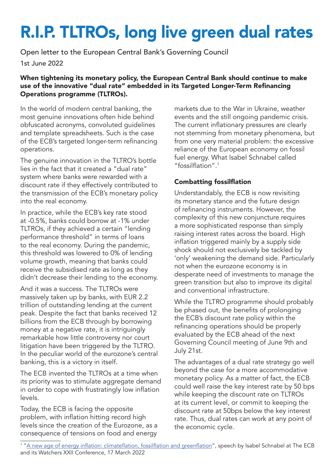# R.I.P. TLTROs, long live green dual rates

Open letter to the European Central Bank's Governing Council

1st June 2022

#### When tightening its monetary policy, the European Central Bank should continue to make use of the innovative "dual rate" embedded in its Targeted Longer-Term Refinancing Operations programme (TLTROs).

In the world of modern central banking, the most genuine innovations often hide behind obfuscated acronyms, convoluted guidelines and template spreadsheets. Such is the case of the ECB's targeted longer-term refinancing operations.

The genuine innovation in the TLTRO's bottle lies in the fact that it created a "dual rate" system where banks were rewarded with a discount rate if they effectively contributed to the transmission of the ECB's monetary policy into the real economy.

In practice, while the ECB's key rate stood at -0.5%, banks could borrow at -1% under TLTROs, if they achieved a certain "lending performance threshold" in terms of loans to the real economy. During the pandemic, this threshold was lowered to 0% of lending volume growth, meaning that banks could receive the subsidised rate as long as they didn't decrease their lending to the economy.

And it was a success. The TLTROs were massively taken up by banks, with EUR 2.2 trillion of outstanding lending at the current peak. Despite the fact that banks received 12 billions from the ECB through by borrowing money at a negative rate, it is intriguingly remarkable how little controversy nor court litigation have been triggered by the TLTRO. In the peculiar world of the eurozone's central banking, this is a victory in itself.

The ECB invented the TLTROs at a time when its priority was to stimulate aggregate demand in order to cope with frustratingly low inflation levels.

Today, the ECB is facing the opposite problem, with inflation hitting record high levels since the creation of the Eurozone, as a consequence of tensions on food and energy markets due to the War in Ukraine, weather events and the still ongoing pandemic crisis. The current inflationary pressures are clearly not stemming from monetary phenomena, but from one very material problem: the excessive reliance of the European economy on fossil fuel energy. What Isabel Schnabel called "fossilflation".<sup>1</sup>

### Combatting fossilflation

Understandably, the ECB is now revisiting its monetary stance and the future design of refinancing instruments. However, the complexity of this new conjuncture requires a more sophisticated response than simply raising interest rates across the board. High inflation triggered mainly by a supply side shock should not exclusively be tackled by 'only' weakening the demand side. Particularly not when the eurozone economy is in desperate need of investments to manage the green transition but also to improve its digital and conventional infrastructure.

While the TLTRO programme should probably be phased out, the benefits of prolonging the ECB's discount rate policy within the refinancing operations should be properly evaluated by the ECB ahead of the next Governing Council meeting of June 9th and July 21st.

The advantages of a dual rate strategy go well beyond the case for a more accommodative monetary policy. As a matter of fact, the ECB could well raise the key interest rate by 50 bps while keeping the discount rate on TLTROs at its current level, or commit to keeping the discount rate at 50bps below the key interest rate. Thus, dual rates can work at any point of the economic cycle.

<sup>&</sup>lt;sup>1</sup> "<u>A new age of energy inflation: climateflation, fossilflation and greenflation</u>", speech by Isabel Schnabel at The ECB and its Watchers XXII Conference, 17 March 2022